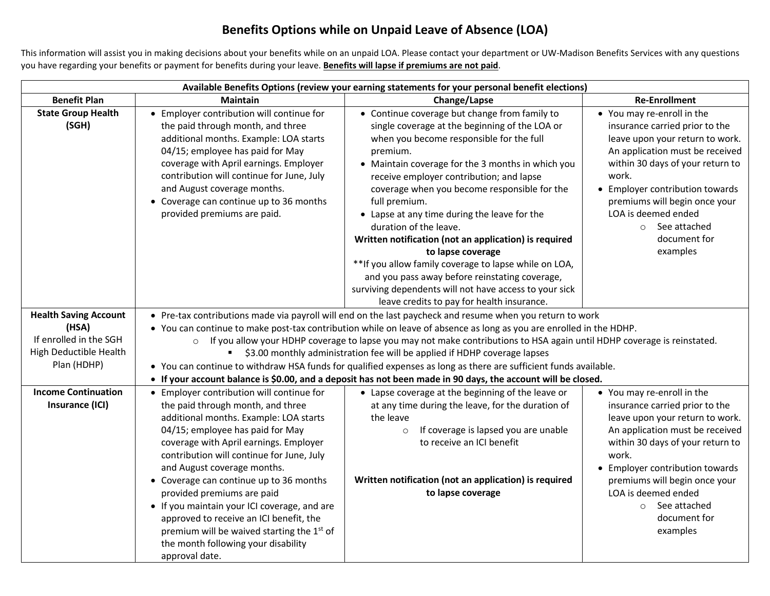## **Benefits Options while on Unpaid Leave of Absence (LOA)**

This information will assist you in making decisions about your benefits while on an unpaid LOA. Please contact your department or UW-Madison Benefits Services with any questions you have regarding your benefits or payment for benefits during your leave. **Benefits will lapse if premiums are not paid**.

| Available Benefits Options (review your earning statements for your personal benefit elections)          |                                                                                                                                                                                                                                                                                                                                                                                                                                                                                                                                                                                                                                                                                         |                                                                                                                                                                                                                                                                                                                                                                                                                                                                                                                                                                                                                                                                                                       |                                                                                                                                                                                                                                                                                                                                |  |  |  |
|----------------------------------------------------------------------------------------------------------|-----------------------------------------------------------------------------------------------------------------------------------------------------------------------------------------------------------------------------------------------------------------------------------------------------------------------------------------------------------------------------------------------------------------------------------------------------------------------------------------------------------------------------------------------------------------------------------------------------------------------------------------------------------------------------------------|-------------------------------------------------------------------------------------------------------------------------------------------------------------------------------------------------------------------------------------------------------------------------------------------------------------------------------------------------------------------------------------------------------------------------------------------------------------------------------------------------------------------------------------------------------------------------------------------------------------------------------------------------------------------------------------------------------|--------------------------------------------------------------------------------------------------------------------------------------------------------------------------------------------------------------------------------------------------------------------------------------------------------------------------------|--|--|--|
| <b>Benefit Plan</b>                                                                                      | <b>Maintain</b>                                                                                                                                                                                                                                                                                                                                                                                                                                                                                                                                                                                                                                                                         | Change/Lapse                                                                                                                                                                                                                                                                                                                                                                                                                                                                                                                                                                                                                                                                                          | <b>Re-Enrollment</b>                                                                                                                                                                                                                                                                                                           |  |  |  |
| <b>State Group Health</b><br>(SGH)                                                                       | • Employer contribution will continue for<br>the paid through month, and three<br>additional months. Example: LOA starts<br>04/15; employee has paid for May<br>coverage with April earnings. Employer<br>contribution will continue for June, July<br>and August coverage months.<br>• Coverage can continue up to 36 months<br>provided premiums are paid.                                                                                                                                                                                                                                                                                                                            | • Continue coverage but change from family to<br>single coverage at the beginning of the LOA or<br>when you become responsible for the full<br>premium.<br>• Maintain coverage for the 3 months in which you<br>receive employer contribution; and lapse<br>coverage when you become responsible for the<br>full premium.<br>• Lapse at any time during the leave for the<br>duration of the leave.<br>Written notification (not an application) is required<br>to lapse coverage<br>** If you allow family coverage to lapse while on LOA,<br>and you pass away before reinstating coverage,<br>surviving dependents will not have access to your sick<br>leave credits to pay for health insurance. | • You may re-enroll in the<br>insurance carried prior to the<br>leave upon your return to work.<br>An application must be received<br>within 30 days of your return to<br>work.<br>• Employer contribution towards<br>premiums will begin once your<br>LOA is deemed ended<br>$\circ$ See attached<br>document for<br>examples |  |  |  |
| <b>Health Saving Account</b><br>(HSA)<br>If enrolled in the SGH<br>High Deductible Health<br>Plan (HDHP) | • Pre-tax contributions made via payroll will end on the last paycheck and resume when you return to work<br>• You can continue to make post-tax contribution while on leave of absence as long as you are enrolled in the HDHP.<br>If you allow your HDHP coverage to lapse you may not make contributions to HSA again until HDHP coverage is reinstated.<br>$\circ$<br>\$3.00 monthly administration fee will be applied if HDHP coverage lapses<br>• You can continue to withdraw HSA funds for qualified expenses as long as there are sufficient funds available.<br>• If your account balance is \$0.00, and a deposit has not been made in 90 days, the account will be closed. |                                                                                                                                                                                                                                                                                                                                                                                                                                                                                                                                                                                                                                                                                                       |                                                                                                                                                                                                                                                                                                                                |  |  |  |
| <b>Income Continuation</b><br>Insurance (ICI)                                                            | • Employer contribution will continue for<br>the paid through month, and three<br>additional months. Example: LOA starts<br>04/15; employee has paid for May<br>coverage with April earnings. Employer<br>contribution will continue for June, July<br>and August coverage months.<br>• Coverage can continue up to 36 months<br>provided premiums are paid<br>• If you maintain your ICI coverage, and are<br>approved to receive an ICI benefit, the<br>premium will be waived starting the 1st of<br>the month following your disability<br>approval date.                                                                                                                           | • Lapse coverage at the beginning of the leave or<br>at any time during the leave, for the duration of<br>the leave<br>If coverage is lapsed you are unable<br>$\circ$<br>to receive an ICI benefit<br>Written notification (not an application) is required<br>to lapse coverage                                                                                                                                                                                                                                                                                                                                                                                                                     | • You may re-enroll in the<br>insurance carried prior to the<br>leave upon your return to work.<br>An application must be received<br>within 30 days of your return to<br>work.<br>• Employer contribution towards<br>premiums will begin once your<br>LOA is deemed ended<br>o See attached<br>document for<br>examples       |  |  |  |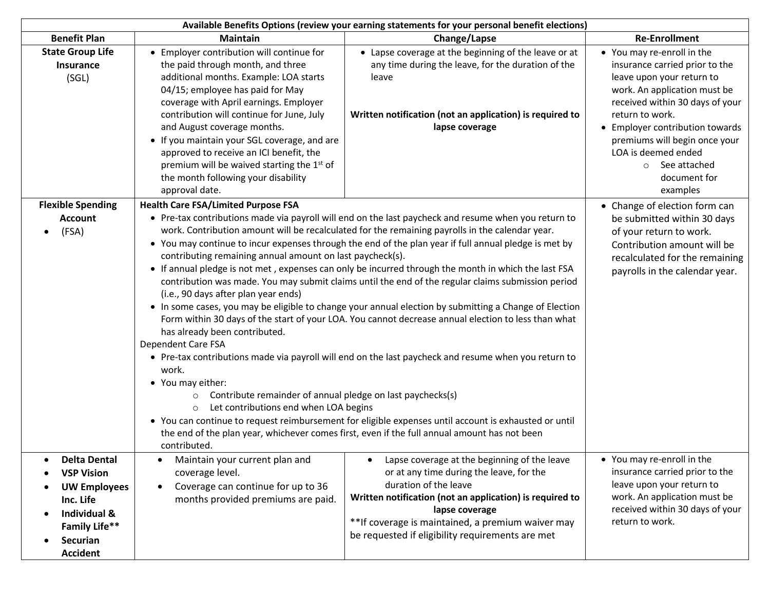| Available Benefits Options (review your earning statements for your personal benefit elections)                                              |                                                                                                                                                                                                                                                                                                                                                                                                                                                                                                                                                                                                                                                                                                                                                                                                                                                                                                                                                                                                                                                                                                                                                                                                                                                                                                                                                                                                                                                       |                                                                                                                                                                                                                                                                                                          |                                                                                                                                                                                                                                                                                                                                   |  |  |  |
|----------------------------------------------------------------------------------------------------------------------------------------------|-------------------------------------------------------------------------------------------------------------------------------------------------------------------------------------------------------------------------------------------------------------------------------------------------------------------------------------------------------------------------------------------------------------------------------------------------------------------------------------------------------------------------------------------------------------------------------------------------------------------------------------------------------------------------------------------------------------------------------------------------------------------------------------------------------------------------------------------------------------------------------------------------------------------------------------------------------------------------------------------------------------------------------------------------------------------------------------------------------------------------------------------------------------------------------------------------------------------------------------------------------------------------------------------------------------------------------------------------------------------------------------------------------------------------------------------------------|----------------------------------------------------------------------------------------------------------------------------------------------------------------------------------------------------------------------------------------------------------------------------------------------------------|-----------------------------------------------------------------------------------------------------------------------------------------------------------------------------------------------------------------------------------------------------------------------------------------------------------------------------------|--|--|--|
| <b>Benefit Plan</b>                                                                                                                          | <b>Maintain</b>                                                                                                                                                                                                                                                                                                                                                                                                                                                                                                                                                                                                                                                                                                                                                                                                                                                                                                                                                                                                                                                                                                                                                                                                                                                                                                                                                                                                                                       | Change/Lapse                                                                                                                                                                                                                                                                                             | <b>Re-Enrollment</b>                                                                                                                                                                                                                                                                                                              |  |  |  |
| <b>State Group Life</b><br>Insurance<br>(SGL)                                                                                                | • Employer contribution will continue for<br>the paid through month, and three<br>additional months. Example: LOA starts<br>04/15; employee has paid for May<br>coverage with April earnings. Employer<br>contribution will continue for June, July<br>and August coverage months.<br>• If you maintain your SGL coverage, and are<br>approved to receive an ICI benefit, the<br>premium will be waived starting the 1st of<br>the month following your disability<br>approval date.                                                                                                                                                                                                                                                                                                                                                                                                                                                                                                                                                                                                                                                                                                                                                                                                                                                                                                                                                                  | • Lapse coverage at the beginning of the leave or at<br>any time during the leave, for the duration of the<br>leave<br>Written notification (not an application) is required to<br>lapse coverage                                                                                                        | • You may re-enroll in the<br>insurance carried prior to the<br>leave upon your return to<br>work. An application must be<br>received within 30 days of your<br>return to work.<br>• Employer contribution towards<br>premiums will begin once your<br>LOA is deemed ended<br>See attached<br>$\circ$<br>document for<br>examples |  |  |  |
| <b>Flexible Spending</b><br><b>Account</b><br>(FSA)<br>$\bullet$                                                                             | <b>Health Care FSA/Limited Purpose FSA</b><br>• Pre-tax contributions made via payroll will end on the last paycheck and resume when you return to<br>work. Contribution amount will be recalculated for the remaining payrolls in the calendar year.<br>• You may continue to incur expenses through the end of the plan year if full annual pledge is met by<br>contributing remaining annual amount on last paycheck(s).<br>• If annual pledge is not met, expenses can only be incurred through the month in which the last FSA<br>contribution was made. You may submit claims until the end of the regular claims submission period<br>(i.e., 90 days after plan year ends)<br>• In some cases, you may be eligible to change your annual election by submitting a Change of Election<br>Form within 30 days of the start of your LOA. You cannot decrease annual election to less than what<br>has already been contributed.<br>Dependent Care FSA<br>• Pre-tax contributions made via payroll will end on the last paycheck and resume when you return to<br>work.<br>• You may either:<br>Contribute remainder of annual pledge on last paychecks(s)<br>$\circ$<br>Let contributions end when LOA begins<br>$\circ$<br>• You can continue to request reimbursement for eligible expenses until account is exhausted or until<br>the end of the plan year, whichever comes first, even if the full annual amount has not been<br>contributed. |                                                                                                                                                                                                                                                                                                          | • Change of election form can<br>be submitted within 30 days<br>of your return to work.<br>Contribution amount will be<br>recalculated for the remaining<br>payrolls in the calendar year.                                                                                                                                        |  |  |  |
| <b>Delta Dental</b><br><b>VSP Vision</b><br><b>UW Employees</b><br>Inc. Life<br>Individual &<br>Family Life**<br>Securian<br><b>Accident</b> | Maintain your current plan and<br>coverage level.<br>Coverage can continue for up to 36<br>months provided premiums are paid.                                                                                                                                                                                                                                                                                                                                                                                                                                                                                                                                                                                                                                                                                                                                                                                                                                                                                                                                                                                                                                                                                                                                                                                                                                                                                                                         | Lapse coverage at the beginning of the leave<br>or at any time during the leave, for the<br>duration of the leave<br>Written notification (not an application) is required to<br>lapse coverage<br>**If coverage is maintained, a premium waiver may<br>be requested if eligibility requirements are met | • You may re-enroll in the<br>insurance carried prior to the<br>leave upon your return to<br>work. An application must be<br>received within 30 days of your<br>return to work.                                                                                                                                                   |  |  |  |